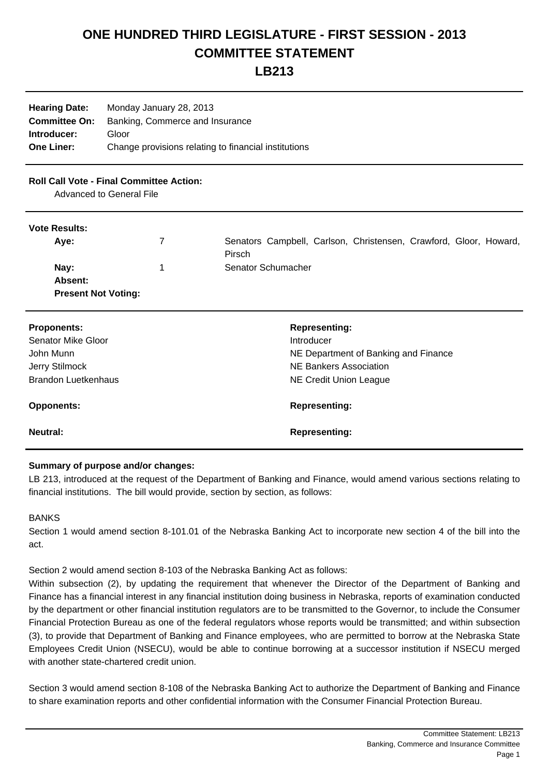# **ONE HUNDRED THIRD LEGISLATURE - FIRST SESSION - 2013 COMMITTEE STATEMENT**

## **LB213**

| Monday January 28, 2013                              |  |
|------------------------------------------------------|--|
| Banking, Commerce and Insurance                      |  |
| Gloor                                                |  |
| Change provisions relating to financial institutions |  |
|                                                      |  |

### **Roll Call Vote - Final Committee Action:**

Advanced to General File

#### **Vote Results:**

| <b>VULG INGOUILS.</b>      |                                                                             |  |
|----------------------------|-----------------------------------------------------------------------------|--|
| Aye:                       | Senators Campbell, Carlson, Christensen, Crawford, Gloor, Howard,<br>Pirsch |  |
| Nay:                       | Senator Schumacher                                                          |  |
| Absent:                    |                                                                             |  |
| <b>Present Not Voting:</b> |                                                                             |  |

| <b>Proponents:</b>         | <b>Representing:</b>                 |
|----------------------------|--------------------------------------|
| Senator Mike Gloor         | Introducer                           |
| John Munn                  | NE Department of Banking and Finance |
| Jerry Stilmock             | NE Bankers Association               |
| <b>Brandon Luetkenhaus</b> | NE Credit Union League               |
| <b>Opponents:</b>          | <b>Representing:</b>                 |
| Neutral:                   | <b>Representing:</b>                 |

#### **Summary of purpose and/or changes:**

LB 213, introduced at the request of the Department of Banking and Finance, would amend various sections relating to financial institutions. The bill would provide, section by section, as follows:

#### BANKS

Section 1 would amend section 8-101.01 of the Nebraska Banking Act to incorporate new section 4 of the bill into the act.

Section 2 would amend section 8-103 of the Nebraska Banking Act as follows:

Within subsection (2), by updating the requirement that whenever the Director of the Department of Banking and Finance has a financial interest in any financial institution doing business in Nebraska, reports of examination conducted by the department or other financial institution regulators are to be transmitted to the Governor, to include the Consumer Financial Protection Bureau as one of the federal regulators whose reports would be transmitted; and within subsection (3), to provide that Department of Banking and Finance employees, who are permitted to borrow at the Nebraska State Employees Credit Union (NSECU), would be able to continue borrowing at a successor institution if NSECU merged with another state-chartered credit union.

Section 3 would amend section 8-108 of the Nebraska Banking Act to authorize the Department of Banking and Finance to share examination reports and other confidential information with the Consumer Financial Protection Bureau.